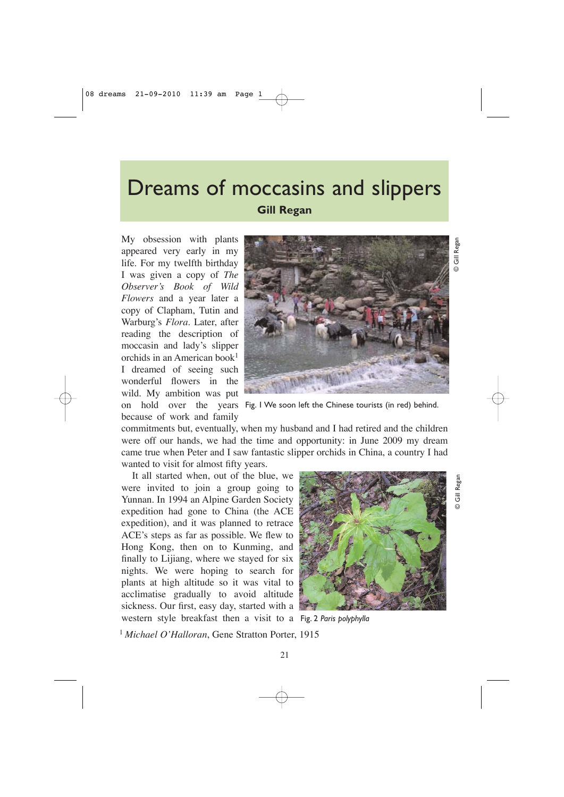## Dreams of moccasins and slippers **Gill Regan**

My obsession with plants appeared very early in my life. For my twelfth birthday I was given a copy of *The Observer's Book of Wild Flowers* and a year later a copy of Clapham, Tutin and Warburg's *Flora*. Later, after reading the description of moccasin and lady's slipper orchids in an American book<sup>1</sup> I dreamed of seeing such wonderful flowers in the wild. My ambition was put



© Gill Regan Gill Regan ഒ

© Gill Regan

**D** Gill Regar

on hold over the years Fig. 1 We soon left the Chinese tourists (in red) behind. because of work and family

commitments but, eventually, when my husband and I had retired and the children were off our hands, we had the time and opportunity: in June 2009 my dream came true when Peter and I saw fantastic slipper orchids in China, a country I had wanted to visit for almost fifty years.

It all started when, out of the blue, we were invited to join a group going to Yunnan. In 1994 an Alpine Garden Society expedition had gone to China (the ACE expedition), and it was planned to retrace ACE's steps as far as possible. We flew to Hong Kong, then on to Kunming, and finally to Lijiang, where we stayed for six nights. We were hoping to search for plants at high altitude so it was vital to acclimatise gradually to avoid altitude sickness. Our first, easy day, started with a western style breakfast then a visit to a Fig. 2 *Paris polyphylla*



<sup>1</sup>*Michael O'Halloran*, Gene Stratton Porter, 1915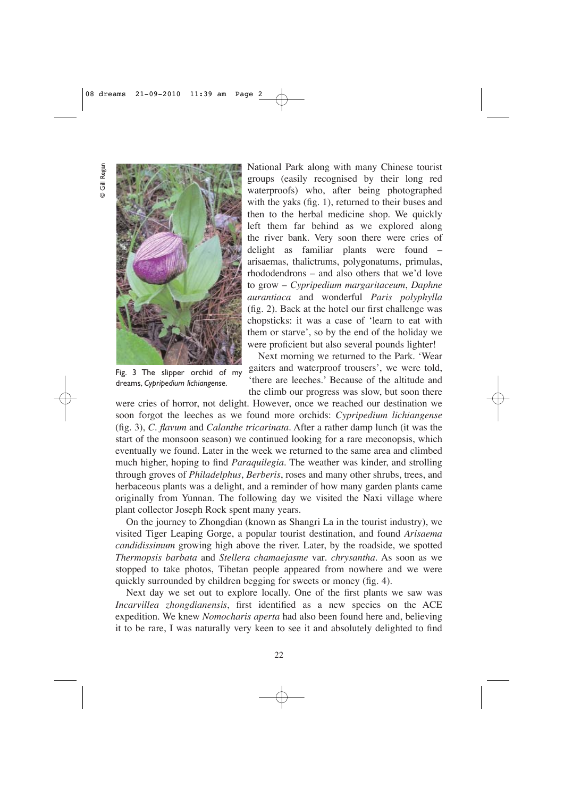© Gill Regan Gill Regan  $\odot$ 



Fig. 3 The slipper orchid of my dreams, *Cypripedium lichiangense.*

National Park along with many Chinese tourist groups (easily recognised by their long red waterproofs) who, after being photographed with the yaks (fig. 1), returned to their buses and then to the herbal medicine shop. We quickly left them far behind as we explored along the river bank. Very soon there were cries of delight as familiar plants were found – arisaemas, thalictrums, polygonatums, primulas, rhododendrons – and also others that we'd love to grow – *Cypripedium margaritaceum*, *Daphne aurantiaca* and wonderful *Paris polyphylla* (fig. 2). Back at the hotel our first challenge was chopsticks: it was a case of 'learn to eat with them or starve', so by the end of the holiday we were proficient but also several pounds lighter!

Next morning we returned to the Park. 'Wear gaiters and waterproof trousers', we were told, 'there are leeches.' Because of the altitude and the climb our progress was slow, but soon there

were cries of horror, not delight. However, once we reached our destination we soon forgot the leeches as we found more orchids: *Cypripedium lichiangense* (fig. 3), *C. flavum* and *Calanthe tricarinata*. After a rather damp lunch (it was the start of the monsoon season) we continued looking for a rare meconopsis, which eventually we found. Later in the week we returned to the same area and climbed much higher, hoping to find *Paraquilegia*. The weather was kinder, and strolling through groves of *Philadelphus*, *Berberis*, roses and many other shrubs, trees, and herbaceous plants was a delight, and a reminder of how many garden plants came originally from Yunnan. The following day we visited the Naxi village where plant collector Joseph Rock spent many years.

On the journey to Zhongdian (known as Shangri La in the tourist industry), we visited Tiger Leaping Gorge, a popular tourist destination, and found *Arisaema candidissimum* growing high above the river. Later, by the roadside, we spotted *Thermopsis barbata* and *Stellera chamaejasme* var*. chrysantha*. As soon as we stopped to take photos, Tibetan people appeared from nowhere and we were quickly surrounded by children begging for sweets or money (fig. 4).

Next day we set out to explore locally. One of the first plants we saw was *Incarvillea zhongdianensis*, first identified as a new species on the ACE expedition. We knew *Nomocharis aperta* had also been found here and, believing it to be rare, I was naturally very keen to see it and absolutely delighted to find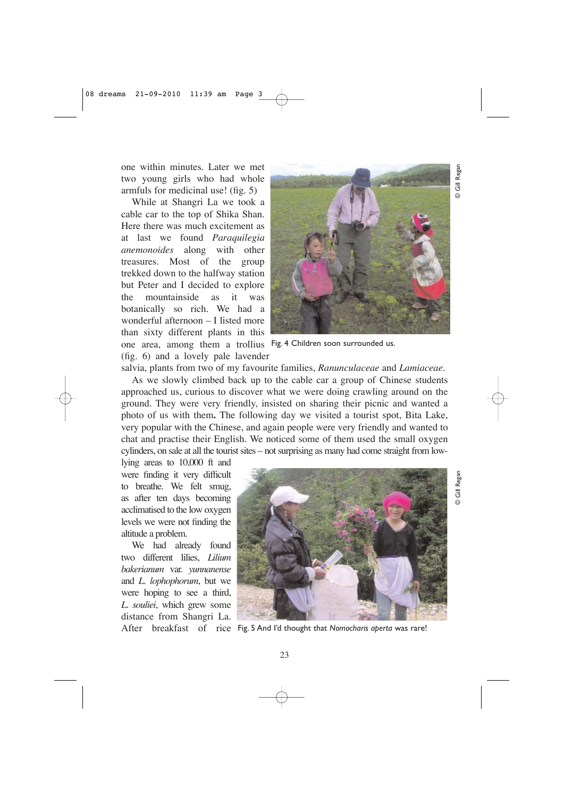one within minutes. Later we met two young girls who had whole armfuls for medicinal use! (fig. 5)

While at Shangri La we took a cable car to the top of Shika Shan. Here there was much excitement as at last we found *Paraquilegia anemonoides* along with other treasures. Most of the group trekked down to the halfway station but Peter and I decided to explore the mountainside as it was botanically so rich. We had a wonderful afternoon – I listed more than sixty different plants in this one area, among them a trollius Fig. 4 Children soon surrounded us. (fig. 6) and a lovely pale lavender



© Gill Regan

© Gill Regan

Regan  $\overline{5}$ 

salvia, plants from two of my favourite families, *Ranunculaceae* and *Lamiaceae.*

As we slowly climbed back up to the cable car a group of Chinese students approached us, curious to discover what we were doing crawling around on the ground. They were very friendly, insisted on sharing their picnic and wanted a photo of us with them**.** The following day we visited a tourist spot, Bita Lake, very popular with the Chinese, and again people were very friendly and wanted to chat and practise their English. We noticed some of them used the small oxygen cylinders, on sale at all the tourist sites – not surprising as many had come straight from low-

lying areas to 10,000 ft and were finding it very difficult to breathe. We felt smug, as after ten days becoming acclimatised to the low oxygen levels we were not finding the altitude a problem.

We had already found two different lilies, *Lilium bakerianum* var. *yunnanense* and *L. lophophorum*, but we were hoping to see a third, *L. souliei*, which grew some distance from Shangri La.

![](_page_2_Picture_9.jpeg)

After breakfast of rice Fig. 5 And I'd thought that *Nomocharis aperta* was rare!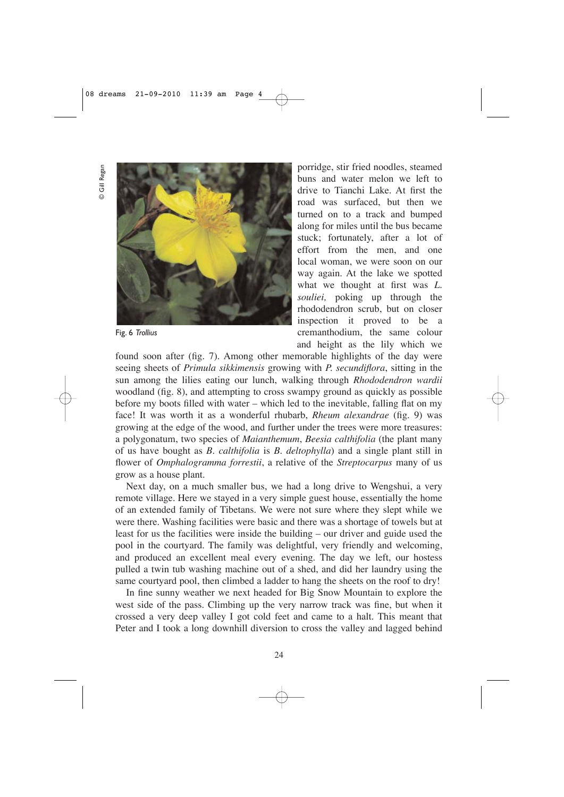Gill Regan © Gill Regan

![](_page_3_Picture_2.jpeg)

Fig. 6 *Trollius*

porridge, stir fried noodles, steamed buns and water melon we left to drive to Tianchi Lake. At first the road was surfaced, but then we turned on to a track and bumped along for miles until the bus became stuck; fortunately, after a lot of effort from the men, and one local woman, we were soon on our way again. At the lake we spotted what we thought at first was *L. souliei,* poking up through the rhododendron scrub, but on closer inspection it proved to be a cremanthodium, the same colour and height as the lily which we

found soon after (fig. 7). Among other memorable highlights of the day were seeing sheets of *Primula sikkimensis* growing with *P. secundiflora*, sitting in the sun among the lilies eating our lunch, walking through *Rhododendron wardii* woodland (fig. 8), and attempting to cross swampy ground as quickly as possible before my boots filled with water – which led to the inevitable, falling flat on my face! It was worth it as a wonderful rhubarb, *Rheum alexandrae* (fig. 9) was growing at the edge of the wood, and further under the trees were more treasures: a polygonatum, two species of *Maianthemum*, *Beesia calthifolia* (the plant many of us have bought as *B. calthifolia* is *B. deltophylla*) and a single plant still in flower of *Omphalogramma forrestii*, a relative of the *Streptocarpus* many of us grow as a house plant.

Next day, on a much smaller bus, we had a long drive to Wengshui, a very remote village. Here we stayed in a very simple guest house, essentially the home of an extended family of Tibetans. We were not sure where they slept while we were there. Washing facilities were basic and there was a shortage of towels but at least for us the facilities were inside the building – our driver and guide used the pool in the courtyard. The family was delightful, very friendly and welcoming, and produced an excellent meal every evening. The day we left, our hostess pulled a twin tub washing machine out of a shed, and did her laundry using the same courtyard pool, then climbed a ladder to hang the sheets on the roof to dry!

In fine sunny weather we next headed for Big Snow Mountain to explore the west side of the pass. Climbing up the very narrow track was fine, but when it crossed a very deep valley I got cold feet and came to a halt. This meant that Peter and I took a long downhill diversion to cross the valley and lagged behind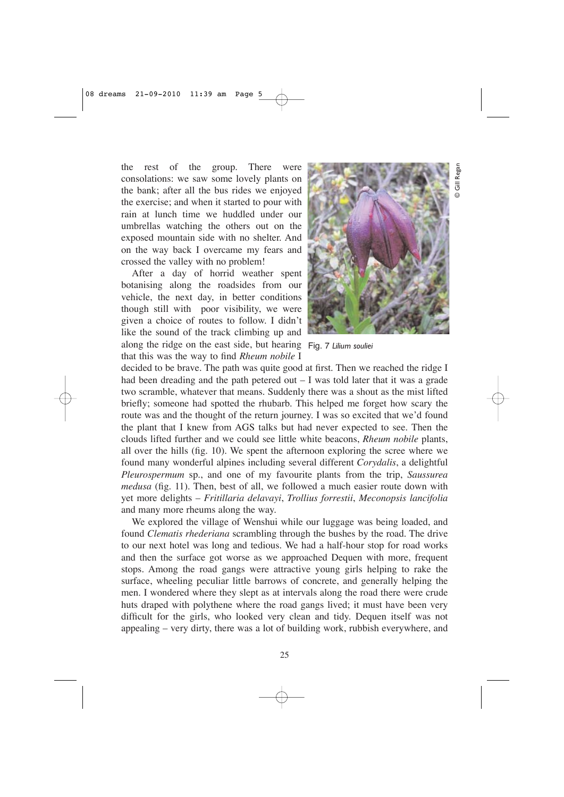the rest of the group. There were consolations: we saw some lovely plants on the bank; after all the bus rides we enjoyed the exercise; and when it started to pour with rain at lunch time we huddled under our umbrellas watching the others out on the exposed mountain side with no shelter. And on the way back I overcame my fears and crossed the valley with no problem!

After a day of horrid weather spent botanising along the roadsides from our vehicle, the next day, in better conditions though still with poor visibility, we were given a choice of routes to follow. I didn't like the sound of the track climbing up and along the ridge on the east side, but hearing Fig. 7 *Lilium souliei* that this was the way to find *Rheum nobile* I

![](_page_4_Picture_3.jpeg)

decided to be brave. The path was quite good at first. Then we reached the ridge I had been dreading and the path petered out  $-I$  was told later that it was a grade two scramble, whatever that means. Suddenly there was a shout as the mist lifted briefly; someone had spotted the rhubarb. This helped me forget how scary the route was and the thought of the return journey. I was so excited that we'd found the plant that I knew from AGS talks but had never expected to see. Then the clouds lifted further and we could see little white beacons, *Rheum nobile* plants, all over the hills (fig. 10). We spent the afternoon exploring the scree where we found many wonderful alpines including several different *Corydalis*, a delightful *Pleurospermum* sp., and one of my favourite plants from the trip, *Saussurea medusa* (fig. 11). Then, best of all, we followed a much easier route down with yet more delights – *Fritillaria delavayi*, *Trollius forrestii*, *Meconopsis lancifolia* and many more rheums along the way.

We explored the village of Wenshui while our luggage was being loaded, and found *Clematis rhederiana* scrambling through the bushes by the road. The drive to our next hotel was long and tedious. We had a half-hour stop for road works and then the surface got worse as we approached Dequen with more, frequent stops. Among the road gangs were attractive young girls helping to rake the surface, wheeling peculiar little barrows of concrete, and generally helping the men. I wondered where they slept as at intervals along the road there were crude huts draped with polythene where the road gangs lived; it must have been very difficult for the girls, who looked very clean and tidy. Dequen itself was not appealing – very dirty, there was a lot of building work, rubbish everywhere, and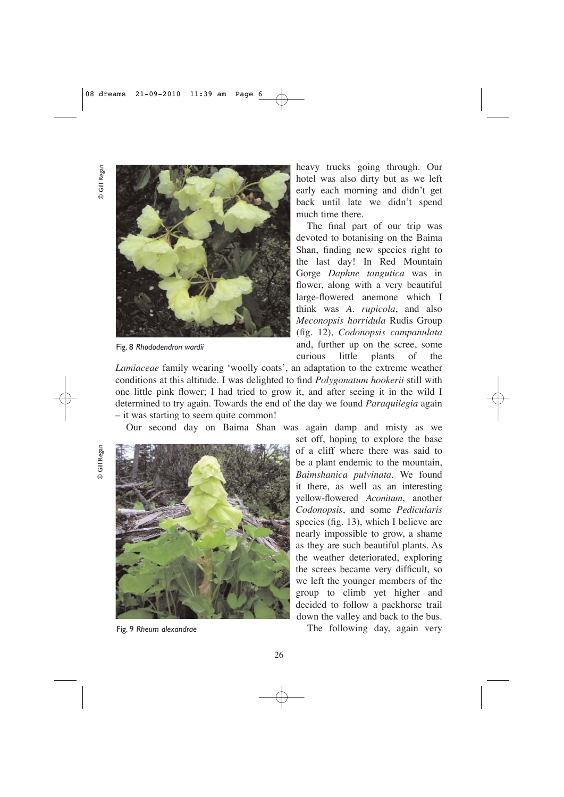Gill Regan © Gill Regan

![](_page_5_Picture_2.jpeg)

Fig. 8 *Rhododendron wardii*

heavy trucks going through. Our hotel was also dirty but as we left early each morning and didn't get back until late we didn't spend much time there.

The final part of our trip was devoted to botanising on the Baima Shan, finding new species right to the last day! In Red Mountain Gorge *Daphne tangutica* was in flower, along with a very beautiful large-flowered anemone which I think was *A. rupicola*, and also *Meconopsis horridula* Rudis Group (fig. 12), *Codonopsis campanulata* and, further up on the scree, some curious little plants of the

*Lamiaceae* family wearing 'woolly coats', an adaptation to the extreme weather conditions at this altitude. I was delighted to find *Polygonatum hookerii* still with one little pink flower; I had tried to grow it, and after seeing it in the wild I determined to try again. Towards the end of the day we found *Paraquilegia* again – it was starting to seem quite common!

Our second day on Baima Shan was again damp and misty as we

© Gill Regan Gill Regar  $\odot$ 

![](_page_5_Picture_9.jpeg)

Fig. 9 *Rheum alexandrae*

set off, hoping to explore the base of a cliff where there was said to be a plant endemic to the mountain, *Baimshanica pulvinata.* We found it there, as well as an interesting yellow-flowered *Aconitum*, another *Codonopsis*, and some *Pedicularis* species (fig. 13), which I believe are nearly impossible to grow, a shame as they are such beautiful plants. As the weather deteriorated, exploring the screes became very difficult, so we left the younger members of the group to climb yet higher and decided to follow a packhorse trail down the valley and back to the bus.

The following day, again very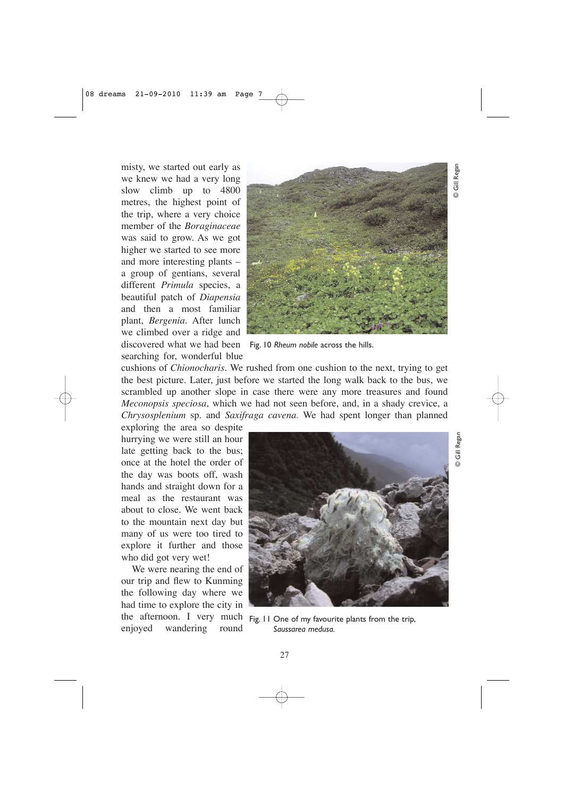misty, we started out early as we knew we had a very long slow climb up to 4800 metres, the highest point of the trip, where a very choice member of the *Boraginaceae* was said to grow. As we got higher we started to see more and more interesting plants – a group of gentians, several different *Primula* species, a beautiful patch of *Diapensia* and then a most familiar plant, *Bergenia.* After lunch we climbed over a ridge and discovered what we had been Fig. 10 *Rheum nobile* across the hills. searching for, wonderful blue

![](_page_6_Picture_2.jpeg)

cushions of *Chionocharis*. We rushed from one cushion to the next, trying to get the best picture. Later, just before we started the long walk back to the bus, we scrambled up another slope in case there were any more treasures and found *Meconopsis speciosa*, which we had not seen before, and, in a shady crevice, a *Chrysosplenium* sp. and *Saxifraga cavena*. We had spent longer than planned

exploring the area so despite hurrying we were still an hour late getting back to the bus; once at the hotel the order of the day was boots off, wash hands and straight down for a meal as the restaurant was about to close. We went back to the mountain next day but many of us were too tired to explore it further and those who did got very wet!

We were nearing the end of our trip and flew to Kunming the following day where we had time to explore the city in the afternoon. I very much Fig. 11 One of my favourite plants from the trip, enjoyed wandering round

![](_page_6_Picture_7.jpeg)

© Gill Regan

**O** Gill Regal

*Saussarea medusa.*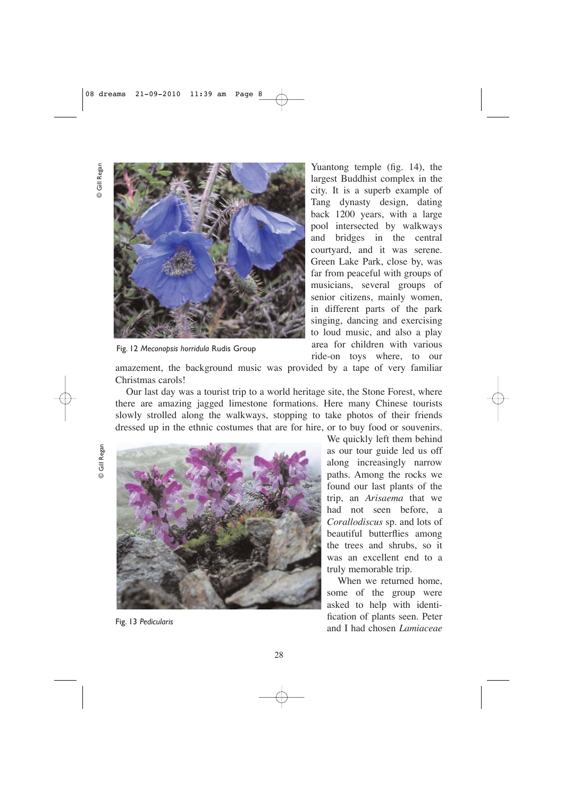© Gill Regan Gill Regar ര

![](_page_7_Picture_2.jpeg)

Fig. 12 *Meconopsis horridula* Rudis Group

Yuantong temple (fig. 14), the largest Buddhist complex in the city. It is a superb example of Tang dynasty design, dating back 1200 years, with a large pool intersected by walkways and bridges in the central courtyard, and it was serene. Green Lake Park, close by, was far from peaceful with groups of musicians, several groups of senior citizens, mainly women, in different parts of the park singing, dancing and exercising to loud music, and also a play area for children with various ride-on toys where, to our

amazement, the background music was provided by a tape of very familiar Christmas carols!

Our last day was a tourist trip to a world heritage site, the Stone Forest, where there are amazing jagged limestone formations. Here many Chinese tourists slowly strolled along the walkways, stopping to take photos of their friends dressed up in the ethnic costumes that are for hire, or to buy food or souvenirs.

![](_page_7_Picture_7.jpeg)

![](_page_7_Picture_8.jpeg)

We quickly left them behind as our tour guide led us off along increasingly narrow paths. Among the rocks we found our last plants of the trip, an *Arisaema* that we had not seen before, a *Corallodiscus* sp. and lots of beautiful butterflies among the trees and shrubs, so it was an excellent end to a truly memorable trip.

When we returned home, some of the group were asked to help with identification of plants seen. Peter and I had chosen *Lamiaceae* Fig. 13 *Pedicularis*